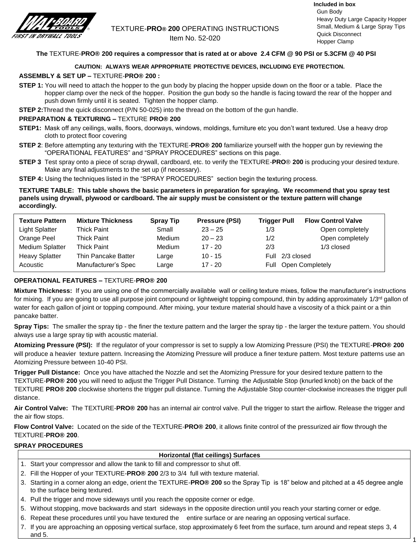

## TEXTURE-**PRO® 200** OPERATING INSTRUCTIONS Item No. 52-020

**Included in box** Gun Body Heavy Duty Large Capacity Hopper Small, Medium & Large Spray Tips Quick Disconnect Hopper Clamp

1

### The TEXTURE-PRO® 200 requires a compressor that is rated at or above 2.4 CFM @ 90 PSI or 5.3CFM @ 40 PSI

### **CAUTION: ALWAYS WEAR APPROPRIATE PROTECTIVE DEVICES, INCLUDING EYE PROTECTION.**

#### **ASSEMBLY & SET UP –** TEXTURE-**PRO® 200 :**

**STEP 1:** You will need to attach the hopper to the gun body by placing the hopper upside down on the floor or a table. Place the hopper clamp over the neck of the hopper. Position the gun body so the handle is facing toward the rear of the hopper and push down firmly until it is seated. Tighten the hopper clamp.

**STEP 2:**Thread the quick disconnect (P/N 50-025) into the thread on the bottom of the gun handle.

### **PREPARATION & TEXTURING –** TEXTURE **PRO® 200**

- **STEP1:** Mask off any ceilings, walls, floors, doorways, windows, moldings, furniture etc you don't want textured. Use a heavy drop cloth to protect floor covering
- **STEP 2**: Before attempting any texturing with the TEXTURE-**PRO® 200** familiarize yourself with the hopper gun by reviewing the "OPERATIONAL FEATURES" and "SPRAY PROCEDURES" sections on this page.
- **STEP 3** Test spray onto a piece of scrap drywall, cardboard, etc. to verify the TEXTURE-**PRO**® **200** is producing your desired texture. Make any final adjustments to the set up (if necessary).

**STEP 4:** Using the techniques listed in the "SPRAY PROCEDURES" section begin the texturing process.

**TEXTURE TABLE: This table shows the basic parameters in preparation for spraying. We recommend that you spray test panels using drywall, plywood or cardboard. The air supply must be consistent or the texture pattern will change accordingly.**

| <b>Texture Pattern</b> | <b>Mixture Thickness</b> | <b>Spray Tip</b> | Pressure (PSI) | <b>Trigger Pull</b> | <b>Flow Control Valve</b> |
|------------------------|--------------------------|------------------|----------------|---------------------|---------------------------|
| <b>Light Splatter</b>  | Thick Paint              | Small            | $23 - 25$      | 1/3                 | Open completely           |
| Orange Peel            | Thick Paint              | Medium           | $20 - 23$      | 1/2                 | Open completely           |
| <b>Medium Splatter</b> | Thick Paint              | Medium           | $17 - 20$      | 2/3                 | $1/3$ closed              |
| <b>Heavy Splatter</b>  | Thin Pancake Batter      | Large            | $10 - 15$      | 2/3 closed<br>Full  |                           |
| Acoustic               | Manufacturer's Spec      | Large            | $17 - 20$      | Full                | Open Completely           |

### **OPERATIONAL FEATURES –** TEXTURE-**PRO® 200**

**Mixture Thickness:** If you are using one of the commercially available wall or ceiling texture mixes, follow the manufacturer's instructions for mixing. If you are going to use all purpose joint compound or lightweight topping compound, thin by adding approximately 1/3<sup>rd</sup> gallon of water for each gallon of joint or topping compound. After mixing, your texture material should have a viscosity of a thick paint or a thin pancake batter.

**Spray Tips:** The smaller the spray tip - the finer the texture pattern and the larger the spray tip - the larger the texture pattern. You should always use a large spray tip with acoustic material.

**Atomizing Pressure (PSI):** If the regulator of your compressor is set to supply a low Atomizing Pressure (PSI) the TEXTURE-**PRO® 200** will produce a heavier texture pattern. Increasing the Atomizing Pressure will produce a finer texture pattern. Most texture patterns use an Atomizing Pressure between 10-40 PSI.

**Trigger Pull Distance:** Once you have attached the Nozzle and set the Atomizing Pressure for your desired texture pattern to the TEXTURE-**PRO® 200** you will need to adjust the Trigger Pull Distance. Turning the Adjustable Stop (knurled knob) on the back of the TEXTURE **PRO® 200** clockwise shortens the trigger pull distance. Turning the Adjustable Stop counter-clockwise increases the trigger pull distance.

**Air Control Valve:** The TEXTURE-**PRO® 200** has an internal air control valve. Pull the trigger to start the airflow. Release the trigger and the air flow stops.

**Flow Control Valve:** Located on the side of the TEXTURE-**PRO® 200**, it allows finite control of the pressurized air flow through the TEXTURE-**PRO® 200**.

### **SPRAY PROCEDURES**

**Horizontal (flat ceilings) Surfaces**

- 1. Start your compressor and allow the tank to fill and compressor to shut off.
- 2. Fill the Hopper of your TEXTURE-**PRO® 200** 2/3 to 3/4 full with texture material.
- 3. Starting in a corner along an edge, orient the TEXTURE-**PRO® 200** so the Spray Tip is 18" below and pitched at a 45 degree angle to the surface being textured.
- 4. Pull the trigger and move sideways until you reach the opposite corner or edge.
- 5. Without stopping, move backwards and start sideways in the opposite direction until you reach your starting corner or edge.
- 6. Repeat these procedures until you have textured the entire surface or are nearing an opposing vertical surface.
- 7. If you are approaching an opposing vertical surface, stop approximately 6 feet from the surface, turn around and repeat steps 3, 4 and 5.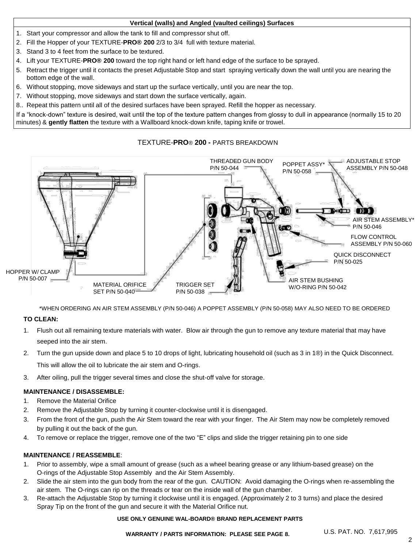### **Vertical (walls) and Angled (vaulted ceilings) Surfaces**

- 1. Start your compressor and allow the tank to fill and compressor shut off.
- 2. Fill the Hopper of your TEXTURE-**PRO® 200** 2/3 to 3/4 full with texture material.
- 3. Stand 3 to 4 feet from the surface to be textured.
- 4. Lift your TEXTURE-**PRO® 200** toward the top right hand or left hand edge of the surface to be sprayed.
- 5. Retract the trigger until it contacts the preset Adjustable Stop and start spraying vertically down the wall until you are nearing the bottom edge of the wall.
- 6. Without stopping, move sideways and start up the surface vertically, until you are near the top.
- 7. Without stopping, move sideways and start down the surface vertically, again.
- 8.. Repeat this pattern until all of the desired surfaces have been sprayed. Refill the hopper as necessary.

If a "knock-down" texture is desired, wait until the top of the texture pattern changes from glossy to dull in appearance (normally 15 to 20 minutes) & **gently flatten** the texture with a Wallboard knock-down knife, taping knife or trowel.



# TEXTURE-**PRO**® **200 -** PARTS BREAKDOWN

\*WHEN ORDERING AN AIR STEM ASSEMBLY (P/N 50-046) A POPPET ASSEMBLY (P/N 50-058) MAY ALSO NEED TO BE ORDERED

#### **TO CLEAN:**

- 1. Flush out all remaining texture materials with water. Blow air through the gun to remove any texture material that may have seeped into the air stem.
- 2. Turn the gun upside down and place 5 to 10 drops of light, lubricating household oil (such as 3 in 1®) in the Quick Disconnect. This will allow the oil to lubricate the air stem and O-rings.
- 3. After oiling, pull the trigger several times and close the shut-off valve for storage.

#### **MAINTENANCE / DISASSEMBLE:**

- 1. Remove the Material Orifice
- 2. Remove the Adjustable Stop by turning it counter-clockwise until it is disengaged.
- 3. From the front of the gun, push the Air Stem toward the rear with your finger. The Air Stem may now be completely removed by pulling it out the back of the gun.
- 4. To remove or replace the trigger, remove one of the two "E" clips and slide the trigger retaining pin to one side

# **MAINTENANCE / REASSEMBLE**:

- 1. Prior to assembly, wipe a small amount of grease (such as a wheel bearing grease or any lithium-based grease) on the O-rings of the Adjustable Stop Assembly and the Air Stem Assembly.
- 2. Slide the air stem into the gun body from the rear of the gun. CAUTION: Avoid damaging the O-rings when re-assembling the air stem. The O-rings can rip on the threads or tear on the inside wall of the gun chamber.
- 3. Re-attach the Adjustable Stop by turning it clockwise until it is engaged. (Approximately 2 to 3 turns) and place the desired Spray Tip on the front of the gun and secure it with the Material Orifice nut.

#### **USE ONLY GENUINE WAL-BOARD® BRAND REPLACEMENT PARTS**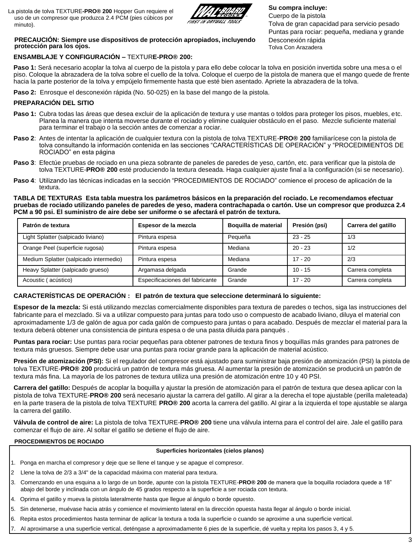La pistola de tolva TEXTURE**-PRO® 200** Hopper Gun requiere el uso de un compresor que produzca 2.4 PCM (pies cúbicos por minuto).



## **Su compra incluye:**

**PRECAUCIÓN: Siempre use dispositivos de protección apropiados, incluyendo protección para los ojos.**

## **ENSAMBLAJE Y CONFIGURACIÓN –** TEXTUR**E-PRO® 200:**

**Paso 1:** Será necesario acoplar la tolva al cuerpo de la pistola y para ello debe colocar la tolva en posición invertida sobre una mesa o el piso. Coloque la abrazadera de la tolva sobre el cuello de la tolva. Coloque el cuerpo de la pistola de manera que el mango quede de frente hacia la parte posterior de la tolva y empújelo firmemente hasta que esté bien asentado. Apriete la abrazadera de la tolva.

**Paso 2:** Enrosque el desconexión rápida (No. 50-025) en la base del mango de la pistola.

#### **PREPARACIÓN DEL SITIO**

- Paso 1: Cubra todas las áreas que desea excluir de la aplicación de textura y use mantas o toldos para proteger los pisos, muebles, etc. Planea la manera que intenta moverse durante el rociado y elimine cualquier obstáculo en el paso. Mezcle suficiente material para terminar el trabajo o la sección antes de comenzar a rociar.
- **Paso 2**: Antes de intentar la aplicación de cualquier textura con la pistola de tolva TEXTURE-**PRO® 200** familiarícese con la pistola de tolva consultando la información contenida en las secciones "CARACTERÍSTICAS DE OPERACIÓN" y "PROCEDIMIENTOS DE ROCIADO" en esta página
- **Paso 3**: Efectúe pruebas de rociado en una pieza sobrante de paneles de paredes de yeso, cartón, etc. para verificar que la pistola de tolva TEXTURE-**PRO® 200** esté produciendo la textura deseada. Haga cualquier ajuste final a la configuración (si se necesario).
- **Paso 4**: Utilizando las técnicas indicadas en la sección "PROCEDIMIENTOS DE ROCIADO" comience el proceso de aplicación de la textura.

#### **TABLA DE TEXTURAS Esta tabla muestra los parámetros básicos en la preparación del rociado. Le recomendamos efectuar pruebas de rociado utilizando paneles de paredes de yeso, madera contrachapada o cartón. Use un compresor que produzca 2.4 PCM a 90 psi. El suministro de aire debe ser uniforme o se afectará el patrón de textura.**

| Patrón de textura                      | Espesor de la mezcla            | Boquilla de material | Presión (psi) | Carrera del gatillo |
|----------------------------------------|---------------------------------|----------------------|---------------|---------------------|
| Light Splatter (salpicado liviano)     | Pintura espesa                  | Pequeña              | $23 - 25$     | 1/3                 |
| Orange Peel (superficie rugosa)        | Pintura espesa                  | Mediana              | $20 - 23$     | 1/2                 |
| Medium Splatter (salpicado intermedio) | Pintura espesa                  | Mediana              | $17 - 20$     | 2/3                 |
| Heavy Splatter (salpicado grueso)      | Argamasa delgada                | Grande               | $10 - 15$     | Carrera completa    |
| Acoustic (acústico)                    | Especificaciones del fabricante | Grande               | $17 - 20$     | Carrera completa    |

#### **CARACTERÍSTICAS DE OPERACIÓN : El patrón de textura que seleccione determinará lo siguiente:**

**Espesor de la mezcla:** Si está utilizando mezclas comercialmente disponibles para textura de paredes o techos, siga las instrucciones del fabricante para el mezclado. Si va a utilizar compuesto para juntas para todo uso o compuesto de acabado liviano, diluya el material con aproximadamente 1/3 de galón de agua por cada galón de compuesto para juntas o para acabado. Después de mezclar el material para la textura deberá obtener una consistencia de pintura espesa o de una pasta diluida para panqués .

**Puntas para rociar:** Use puntas para rociar pequeñas para obtener patrones de textura finos y boquillas más grandes para patrones de textura más gruesos. Siempre debe usar una puntas para rociar grande para la aplicación de material acústico.

**Presión de atomización (PSI):** Si el regulador del compresor está ajustado para suministrar baja presión de atomización (PSI) la pistola de tolva TEXTURE-**PRO® 200** producirá un patrón de textura más gruesa. Al aumentar la presión de atomización se producirá un patrón de textura más fina. La mayoría de los patrones de textura utiliza una presión de atomización entre 10 y 40 PSI.

**Carrera del gatillo:** Después de acoplar la boquilla y ajustar la presión de atomización para el patrón de textura que desea aplicar con la pistola de tolva TEXTURE-**PRO® 200** será necesario ajustar la carrera del gatillo. Al girar a la derecha el tope ajustable (perilla maleteada) en la parte trasera de la pistola de tolva TEXTURE **PRO® 200** acorta la carrera del gatillo. Al girar a la izquierda el tope ajustable se alarga la carrera del gatillo.

**Válvula de control de aire:** La pistola de tolva TEXTURE-**PRO® 200** tiene una válvula interna para el control del aire. Jale el gatillo para comenzar el flujo de aire. Al soltar el gatillo se detiene el flujo de aire.

### **PROCEDIMIENTOS DE ROCIADO**

#### **Superficies horizontales (cielos planos)**

- 1. Ponga en marcha el compresor y deje que se llene el tanque y se apague el compresor.
- 2 Llene la tolva de 2/3 a 3/4" de la capacidad máxima con material para textura.
- 3. Comenzando en una esquina a lo largo de un borde, apunte con la pistola TEXTURE-**PRO® 200** de manera que la boquilla rociadora quede a 18" abajo del borde y inclinada con un ángulo de 45 grados respecto a la superficie a ser rociada con textura.
- 4. Oprima el gatillo y mueva la pistola lateralmente hasta que llegue al ángulo o borde opuesto.
- 5. Sin detenerse, muévase hacia atrás y comience el movimiento lateral en la dirección opuesta hasta llegar al ángulo o borde inicial.
- 6. Repita estos procedimientos hasta terminar de aplicar la textura a toda la superficie o cuando se aproxime a una superficie vertical.
- 7. Al aproximarse a una superficie vertical, deténgase a aproximadamente 6 pies de la superficie, dé vuelta y repita los pasos 3, 4 y 5.

Cuerpo de la pistola Tolva de gran capacidad para servicio pesado Puntas para rociar: pequeña, mediana y grande Desconexión rápida Tolva Con Arazadera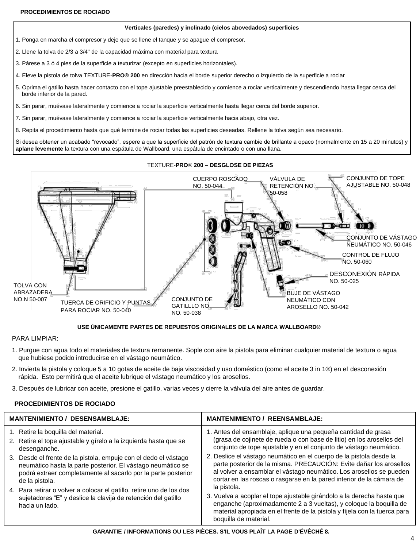#### **Verticales (paredes) y inclinado (cielos abovedados) superficies**

- 1. Ponga en marcha el compresor y deje que se llene el tanque y se apague el compresor.
- 2. Llene la tolva de 2/3 a 3/4" de la capacidad máxima con material para textura
- 3. Párese a 3 ó 4 pies de la superficie a texturizar (excepto en superficies horizontales).
- 4. Eleve la pistola de tolva TEXTURE-**PRO® 200** en dirección hacia el borde superior derecho o izquierdo de la superficie a rociar
- 5. Oprima el gatillo hasta hacer contacto con el tope ajustable preestablecido y comience a rociar verticalmente y descendiendo hasta llegar cerca del borde inferior de la pared.
- 6. Sin parar, muévase lateralmente y comience a rociar la superficie verticalmente hasta llegar cerca del borde superior.
- 7. Sin parar, muévase lateralmente y comience a rociar la superficie verticalmente hacia abajo, otra vez.
- 8. Repita el procedimiento hasta que qué termine de rociar todas las superficies deseadas. Rellene la tolva según sea necesario.

Si desea obtener un acabado "revocado", espere a que la superficie del patrón de textura cambie de brillante a opaco (normalmente en 15 a 20 minutos) y **aplane levemente** la textura con una espátula de Wallboard, una espátula de encintado o con una llana.



### **USE ÚNICAMENTE PARTES DE REPUESTOS ORIGINALES DE LA MARCA WALLBOARD®**

#### PARA LIMPIAR:

- 1. Purgue con agua todo el materiales de textura remanente. Sople con aire la pistola para eliminar cualquier material de textura o agua que hubiese podido introducirse en el vástago neumático.
- 2. Invierta la pistola y coloque 5 a 10 gotas de aceite de baja viscosidad y uso doméstico (como el aceite 3 in 1®) en el desconexión rápida. Esto permitirá que el aceite lubrique el vástago neumático y los arosellos.
- 3. Después de lubricar con aceite, presione el gatillo, varias veces y cierre la válvula del aire antes de guardar.

#### **PROCEDIMIENTOS DE ROCIADO**

| <b>MANTENIMIENTO / DESENSAMBLAJE:</b> |                                                                                                                                                                                                                   | <b>MANTENIMIENTO / REENSAMBLAJE:</b> |                                                                                                                                                                                                                                                                                                         |
|---------------------------------------|-------------------------------------------------------------------------------------------------------------------------------------------------------------------------------------------------------------------|--------------------------------------|---------------------------------------------------------------------------------------------------------------------------------------------------------------------------------------------------------------------------------------------------------------------------------------------------------|
|                                       | 1. Retire la boquilla del material.<br>2. Retire el tope ajustable y gírelo a la izquierda hasta que se<br>desenganche.                                                                                           |                                      | 1. Antes del ensamblaje, aplique una pequeña cantidad de grasa<br>(grasa de cojinete de rueda o con base de litio) en los arosellos del<br>conjunto de tope ajustable y en el conjunto de vástago neumático.                                                                                            |
|                                       | 3. Desde el frente de la pistola, empuje con el dedo el vástago<br>neumático hasta la parte posterior. El vástago neumático se<br>podrá extraer completamente al sacarlo por la parte posterior<br>de la pistola. |                                      | 2. Deslice el vástago neumático en el cuerpo de la pistola desde la<br>parte posterior de la misma. PRECAUCIÓN: Evite dañar los arosellos<br>al volver a ensamblar el vástago neumático. Los arosellos se pueden<br>cortar en las roscas o rasgarse en la pared interior de la cámara de<br>la pistola. |
|                                       | 4. Para retirar o volver a colocar el gatillo, retire uno de los dos<br>sujetadores "E" y deslice la clavija de retención del gatillo<br>hacia un lado.                                                           |                                      | 3. Vuelva a acoplar el tope ajustable girándolo a la derecha hasta que<br>enganche (aproximadamente 2 a 3 vueltas), y coloque la boquilla de<br>material apropiada en el frente de la pistola y fíjela con la tuerca para<br>boquilla de material.                                                      |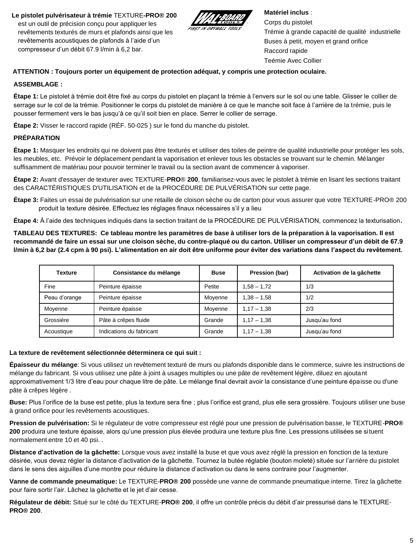**Le pistolet pulvérisateur à trémie** TEXTURE**-PRO® 200**  est un outil de précision conçu pour appliquer les revêtements texturés de murs et plafonds ainsi que les revêtements acoustiques de plafonds à l'aide d'un compresseur d'un débit 67.9 l/min à 6,2 bar.



**Matériel inclus** : Corps du pistolet Trémie à grande capacité de qualité industrielle Buses à petit, moyen et grand orifice Raccord rapide Teémie Avec Collier

# **ATTENTION : Toujours porter un équipement de protection adéquat, y compris une protection oculaire.**

# **ASSEMBLAGE :**

**Étape 1:** Le pistolet à trémie doit être fixé au corps du pistolet en plaçant la trémie à l'envers sur le sol ou une table. Glisser le collier de serrage sur le col de la trémie. Positionner le corps du pistolet de manière à ce que le manche soit face à l'arrière de la trémie, puis le pousser fermement vers le bas jusqu'à ce qu'il soit bien en place. Serrer le collier de serrage.

**Étape 2:** Visser le raccord rapide (RÉF. 50-025 ) sur le fond du manche du pistolet.

## **PRÉPARATION**

**Étape 1:** Masquer les endroits qui ne doivent pas être texturés et utiliser des toiles de peintre de qualité industrielle pour protéger les sols, les meubles, etc. Prévoir le déplacement pendant la vaporisation et enlever tous les obstacles se trouvant sur le chemin. Mélanger suffisamment de matériau pour pouvoir terminer le travail ou la section avant de commencer à vaporiser.

**Étape 2:** Avant d'essayer de texturer avec TEXTURE-**PRO**® **200**, familiarisez-vous avec le pistolet à trémie en lisant les sections traitant des CARACTÉRISTIQUES D'UTILISATION et de la PROCÉDURE DE PULVÉRISATION sur cette page.

**Étape 3:** Faites un essai de pulvérisation sur une retaille de cloison sèche ou de carton pour vous assurer que votre TEXTURE-PRO® 200 produit la texture désirée. Effectuez les réglages finaux nécessaires s'il y a lieu

**Étape 4:** À l'aide des techniques indiqués dans la section traitant de la PROCÉDURE DE PULVÉRISATION, commencez la texturisation**.**

**TABLEAU DES TEXTURES: Ce tableau montre les paramètres de base à utiliser lors de la préparation à la vaporisation. Il est recommandé de faire un essai sur une cloison sèche, du contre-plaqué ou du carton. Utiliser un compresseur d'un débit de 67.9 l/min à 6,2 bar (2.4 cpm à 90 psi). L'alimentation en air doit être uniforme pour éviter des variations dans l'aspect du revêtement.**

| <b>Texture</b> | Consistance du mélange   | <b>Buse</b> | Pression (bar) | Activation de la gâchette |
|----------------|--------------------------|-------------|----------------|---------------------------|
| Fine           | Peinture épaisse         | Petite      | $1.58 - 1.72$  | 1/3                       |
| Peau d'orange  | Peinture épaisse         | Movenne     | $1.38 - 1.58$  | 1/2                       |
| Movenne        | Peinture épaisse         | Movenne     | $1,17 - 1,38$  | 2/3                       |
| Grossière      | Pâte à crêpes fluide     | Grande      | $1.17 - 1.38$  | Jusqu'au fond             |
| Acoustique     | Indications du fabricant | Grande      | $1,17 - 1,38$  | Jusqu'au fond             |

### **La texture de revêtement sélectionnée déterminera ce qui suit :**

**Épaisseur du mélange**: Si vous utilisez un revêtement texturé de murs ou plafonds disponible dans le commerce, suivre les instructions de mélange du fabricant. Si vous utilisez une pâte à joint à usages multiples ou une pâte de revêtement légère, diluez en ajoutant approximativement 1/3 litre d'eau pour chaque litre de pâte. Le mélange final devrait avoir la consistance d'une peinture épaisse ou d'une pâte à crêpes légère .

**Buse:** Plus l'orifice de la buse est petite, plus la texture sera fine ; plus l'orifice est grand, plus elle sera grossière. Toujours utiliser une buse à grand orifice pour les revêtements acoustiques.

**Pression de pulvérisation:** Si le régulateur de votre compresseur est réglé pour une pression de pulvérisation basse, le TEXTURE-**PRO® 200** produira une texture épaisse, alors qu'une pression plus élevée produira une texture plus fine. Les pressions utilisées se situent normalement entre 10 et 40 psi. .

**Distance d'activation de la gâchette:** Lorsque vous avez installé la buse et que vous avez réglé la pression en fonction de la texture désirée, vous devez régler la distance d'activation de la gâchette. Tournez la butée réglable (bouton moleté) située sur l'arrière du pistolet dans le sens des aiguilles d'une montre pour réduire la distance d'activation ou dans le sens contraire pour l'augmenter.

**Vanne de commande pneumatique:** Le TEXTURE-**PRO® 200** possède une vanne de commande pneumatique interne. Tirez la gâchette pour faire sortir l'air. Lâchez la gâchette et le jet d'air cesse.

**Régulateur de débit:** Situé sur le côté du TEXTURE-**PRO® 200**, il offre un contrôle précis du débit d'air pressurisé dans le TEXTURE-**PRO® 200**.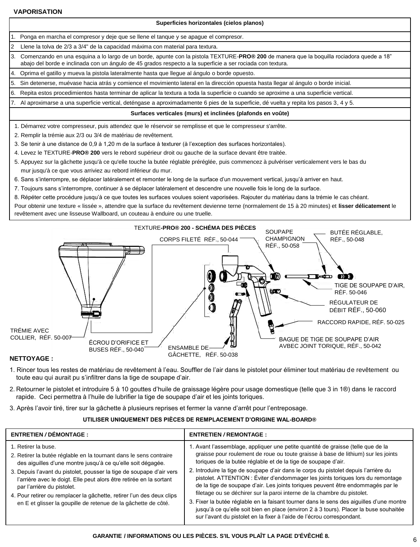#### **Superficies horizontales (cielos planos)**

1. Ponga en marcha el compresor y deje que se llene el tanque y se apague el compresor.

2 Llene la tolva de 2/3 a 3/4" de la capacidad máxima con material para textura.

3. Comenzando en una esquina a lo largo de un borde, apunte con la pistola TEXTURE-**PRO® 200** de manera que la boquilla rociadora quede a 18" abajo del borde e inclinada con un ángulo de 45 grados respecto a la superficie a ser rociada con textura.

4. Oprima el gatillo y mueva la pistola lateralmente hasta que llegue al ángulo o borde opuesto.

5. Sin detenerse, muévase hacia atrás y comience el movimiento lateral en la dirección opuesta hasta llegar al ángulo o borde inicial.

6. Repita estos procedimientos hasta terminar de aplicar la textura a toda la superficie o cuando se aproxime a una superficie vertical.

7. Al aproximarse a una superficie vertical, deténgase a aproximadamente 6 pies de la superficie, dé vuelta y repita los pasos 3, 4 y 5.

#### **Surfaces verticales (murs) et inclinées (plafonds en voûte)**

- 1. Démarrez votre compresseur, puis attendez que le réservoir se remplisse et que le compresseur s'arrête.
- 2. Remplir la trémie aux 2/3 ou 3/4 de matériau de revêtement.
- 3. Se tenir à une distance de 0,9 à 1,20 m de la surface à texturer (à l'exception des surfaces horizontales).
- 4. Levez le TEXTURE-**PRO® 200** vers le rebord supérieur droit ou gauche de la surface devant être traitée.
- 5. Appuyez sur la gâchette jusqu'à ce qu'elle touche la butée réglable préréglée, puis commencez à pulvériser verticalement vers le bas du mur jusqu'à ce que vous arriviez au rebord inférieur du mur.
- 6. Sans s'interrompre, se déplacer latéralement et remonter le long de la surface d'un mouvement vertical, jusqu'à arriver en haut.
- 7. Toujours sans s'interrompre, continuer à se déplacer latéralement et descendre une nouvelle fois le long de la surface.
- 8. Répéter cette procédure jusqu'à ce que toutes les surfaces voulues soient vaporisées. Rajouter du matériau dans la trémie le cas chéant.

Pour obtenir une texture « lissée », attendre que la surface du revêtement devienne terne (normalement de 15 à 20 minutes) et **lisser délicatement** le revêtement avec une lisseuse Wallboard, un couteau à enduire ou une truelle.



### **NETTOYAGE :**

- 1. Rincer tous les restes de matériau de revêtement à l'eau. Souffler de l'air dans le pistolet pour éliminer tout matériau de revêtement ou toute eau qui aurait pu s'infiltrer dans la tige de soupape d'air.
- 2. Retourner le pistolet et introduire 5 à 10 gouttes d'huile de graissage légère pour usage domestique (telle que 3 in 1®) dans le raccord rapide. Ceci permettra à l'huile de lubrifier la tige de soupape d'air et les joints toriques.
- 3. Après l'avoir tiré, tirer sur la gâchette à plusieurs reprises et fermer la vanne d'arrêt pour l'entreposage.

#### **UTILISER UNIQUEMENT DES PIÈCES DE REMPLACEMENT D'ORIGINE WAL-BOARD®**

| <b>ENTRETIEN / DÉMONTAGE :</b>                                                                                                                                                                                                                                                                                                                                                                                                                                                   | <b>ENTRETIEN / REMONTAGE :</b>                                                                                                                                                                                                                                                                                                                                                                                                                                                                                                                                                                                                                                                                                                                                                                                                                |
|----------------------------------------------------------------------------------------------------------------------------------------------------------------------------------------------------------------------------------------------------------------------------------------------------------------------------------------------------------------------------------------------------------------------------------------------------------------------------------|-----------------------------------------------------------------------------------------------------------------------------------------------------------------------------------------------------------------------------------------------------------------------------------------------------------------------------------------------------------------------------------------------------------------------------------------------------------------------------------------------------------------------------------------------------------------------------------------------------------------------------------------------------------------------------------------------------------------------------------------------------------------------------------------------------------------------------------------------|
| 1. Retirer la buse.<br>2. Retirer la butée réglable en la tournant dans le sens contraire<br>des aiguilles d'une montre jusqu'à ce qu'elle soit dégagée.<br>3. Depuis l'avant du pistolet, pousser la tige de soupape d'air vers<br>l'arrière avec le doigt. Elle peut alors être retirée en la sortant<br>par l'arrière du pistolet.<br>4. Pour retirer ou remplacer la gâchette, retirer l'un des deux clips<br>en E et glisser la goupille de retenue de la gâchette de côté. | . Avant l'assemblage, appliquer une petite quantité de graisse (telle que de la<br>graisse pour roulement de roue ou toute graisse à base de lithium) sur les joints<br>toriques de la butée réglable et de la tige de soupape d'air.<br>2. Introduire la tige de soupape d'air dans le corps du pistolet depuis l'arrière du<br>pistolet. ATTENTION : Éviter d'endommager les joints toriques lors du remontage<br>de la tige de soupape d'air. Les joints toriques peuvent être endommagés par le<br>filetage ou se déchirer sur la paroi interne de la chambre du pistolet.<br>3. Fixer la butée réglable en la faisant tourner dans le sens des aiguilles d'une montre<br>jusqu'à ce qu'elle soit bien en place (environ 2 à 3 tours). Placer la buse souhaitée<br>sur l'avant du pistolet en la fixer à l'aide de l'écrou correspondant. |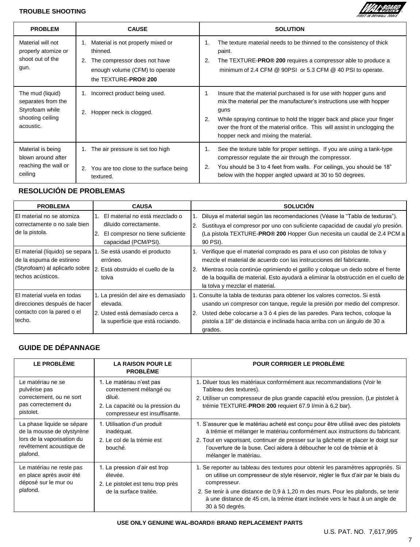### **TROUBLE SHOOTING**



| <b>PROBLEM</b>                                                                             | <b>CAUSE</b>                                                                                                                                        | <b>SOLUTION</b>                                                                                                                                                                                                                                                                                                                                          |
|--------------------------------------------------------------------------------------------|-----------------------------------------------------------------------------------------------------------------------------------------------------|----------------------------------------------------------------------------------------------------------------------------------------------------------------------------------------------------------------------------------------------------------------------------------------------------------------------------------------------------------|
| Material will not<br>properly atomize or<br>shoot out of the<br>gun.                       | Material is not properly mixed or<br>1.<br>thinned.<br>The compressor does not have<br>2.<br>enough volume (CFM) to operate<br>the TEXTURE-PRO® 200 | The texture material needs to be thinned to the consistency of thick<br>$\mathbf{1}$ .<br>paint.<br>The TEXTURE-PRO® 200 requires a compressor able to produce a<br>2.<br>minimum of 2.4 CFM @ 90PSI or 5.3 CFM @ 40 PSI to operate.                                                                                                                     |
| The mud (liquid)<br>separates from the<br>Styrofoam while<br>shooting ceiling<br>acoustic. | Incorrect product being used.<br>1.<br>Hopper neck is clogged.<br>2.                                                                                | Insure that the material purchased is for use with hopper guns and<br>mix the material per the manufacturer's instructions use with hopper<br>guns<br>2.<br>While spraying continue to hold the trigger back and place your finger<br>over the front of the material orifice. This will assist in unclogging the<br>hopper neck and mixing the material. |
| Material is being<br>blown around after<br>reaching the wall or<br>ceiling                 | The air pressure is set too high<br>1.<br>You are too close to the surface being<br>2.<br>textured.                                                 | See the texture table for proper settings. If you are using a tank-type<br>1.<br>compressor regulate the air through the compressor.<br>You should be 3 to 4 feet from walls. For ceilings, you should be 18"<br>2.<br>below with the hopper angled upward at 30 to 50 degrees.                                                                          |

# **RESOLUCIÓN DE PROBLEMAS**

| <b>PROBLEMA</b>                                                                                                      | <b>CAUSA</b>                                                                                                               | <b>SOLUCIÓN</b>                                                                                                                                                                                                                                                                                                                                                                |
|----------------------------------------------------------------------------------------------------------------------|----------------------------------------------------------------------------------------------------------------------------|--------------------------------------------------------------------------------------------------------------------------------------------------------------------------------------------------------------------------------------------------------------------------------------------------------------------------------------------------------------------------------|
| IEI material no se atomiza<br>correctamente o no sale bien<br>de la pistola.                                         | El material no está mezclado o<br>diluido correctamente.<br>El compresor no tiene suficiente<br>2.<br>capacidad (PCM/PSI). | Diluya el material según las recomendaciones (Véase la "Tabla de texturas").<br>Sustituya el compresor por uno con suficiente capacidad de caudal y/o presión.<br>2.<br>(La pistola TEXTURE-PRO® 200 Hopper Gun necesita un caudal de 2.4 PCM a<br>90 PSI).                                                                                                                    |
| El material (líquido) se separa  <br>de la espuma de estireno<br>(Styrofoam) al aplicarlo sobre<br>techos acústicos. | Se está usando el producto<br>erróneo.<br>2. Está obstruido el cuello de la<br>tolva                                       | Verifique que el material comprado es para el uso con pistolas de tolva y<br>mezcle el material de acuerdo con las instrucciones del fabricante.<br>Mientras rocía continúe oprimiendo el gatillo y cologue un dedo sobre el frente<br>$^{\prime}$ 2.<br>de la boquilla de material. Esto ayudará a eliminar la obstrucción en el cuello de<br>la tolva y mezclar el material. |
| l El material vuela en todas<br>direcciones después de hacer<br>contacto con la pared o el<br>l techo.               | 1. La presión del aire es demasiado<br>elevada.<br>2. Usted está demasiado cerca a<br>la superficie que está rociando.     | 1. Consulte la tabla de texturas para obtener los valores correctos. Si está<br>usando un compresor con tanque, regule la presión por medio del compresor.<br>Usted debe colocarse a 3 ó 4 pies de las paredes. Para techos, coloque la<br>2.<br>pistola a 18" de distancia e inclinada hacia arriba con un ángulo de 30 a<br>grados.                                          |

# **GUIDE DE DÉPANNAGE**

| LE PROBLÈME                                                                                                                    | <b>LA RAISON POUR LE</b><br><b>PROBLÈME</b>                                                                                        | <b>POUR CORRIGER LE PROBLEME</b>                                                                                                                                                                                                                                                                                                                                               |
|--------------------------------------------------------------------------------------------------------------------------------|------------------------------------------------------------------------------------------------------------------------------------|--------------------------------------------------------------------------------------------------------------------------------------------------------------------------------------------------------------------------------------------------------------------------------------------------------------------------------------------------------------------------------|
| Le matériau ne se<br>pulvérise pas<br>correctement, ou ne sort<br>pas correctement du<br>pistolet.                             | 1. Le matériau n'est pas<br>correctement mélangé ou<br>dilué.<br>2. La capacité ou la pression du<br>compresseur est insuffisante. | 1. Diluer tous les matériaux conformément aux recommandations (Voir le<br>Tableau des textures).<br>2. Utiliser un compresseur de plus grande capacité et/ou pression. (Le pistolet à<br>trémie TEXTURE-PRO® 200 requiert 67.9 l/min à 6,2 bar).                                                                                                                               |
| La phase liquide se sépare<br>de la mousse de olystyrène<br>lors de la vaporisation du<br>revêtement acoustique de<br>plafond. | 1. Utilisation d'un produit<br>inadéquat.<br>2. Le col de la trémie est<br>bouché.                                                 | 1. S'assurer que le matériau acheté est conçu pour être utilisé avec des pistolets<br>à trémie et mélanger le matériau conformément aux instructions du fabricant.<br>2. Tout en vaporisant, continuer de presser sur la gâchette et placer le doigt sur<br>l'ouverture de la buse. Ceci aidera à déboucher le col de trémie et à<br>mélanger le matériau.                     |
| Le matériau ne reste pas<br>en place après avoir été<br>déposé sur le mur ou<br>plafond.                                       | 1. La pression d'air est trop<br>élevée.<br>2. Le pistolet est tenu trop près<br>de la surface traitée.                            | 1. Se reporter au tableau des textures pour obtenir les paramètres appropriés. Si<br>on utilise un compresseur de style réservoir, régler le flux d'air par le biais du<br>compresseur.<br>2. Se tenir à une distance de 0,9 à 1,20 m des murs. Pour les plafonds, se tenir<br>à une distance de 45 cm, la trémie étant inclinée vers le haut à un angle de<br>30 à 50 degrés. |

### **USE ONLY GENUINE WAL-BOARD® BRAND REPLACEMENT PARTS**